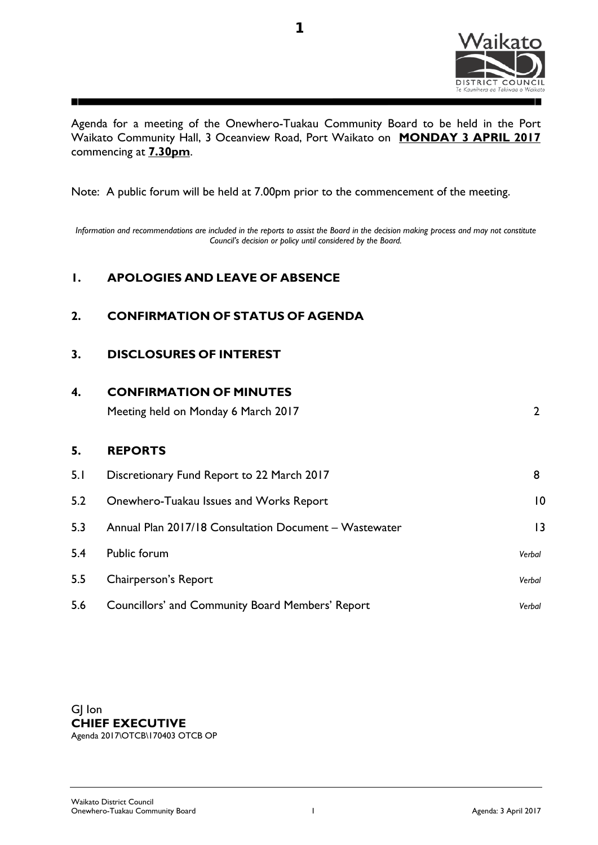

Agenda for a meeting of the Onewhero-Tuakau Community Board to be held in the Port Waikato Community Hall, 3 Oceanview Road, Port Waikato on **MONDAY 3 APRIL 2017** commencing at **7.30pm**.

Note: A public forum will be held at 7.00pm prior to the commencement of the meeting.

*Information and recommendations are included in the reports to assist the Board in the decision making process and may not constitute Council's decision or policy until considered by the Board.*

## **1. APOLOGIES AND LEAVE OF ABSENCE**

## **2. CONFIRMATION OF STATUS OF AGENDA**

## **3. DISCLOSURES OF INTEREST**

| 4.  | <b>CONFIRMATION OF MINUTES</b>                         |                 |  |
|-----|--------------------------------------------------------|-----------------|--|
|     | Meeting held on Monday 6 March 2017                    | 2               |  |
| 5.  | <b>REPORTS</b>                                         |                 |  |
| 5.1 | Discretionary Fund Report to 22 March 2017             | 8               |  |
| 5.2 | Onewhero-Tuakau Issues and Works Report                | $\overline{10}$ |  |
| 5.3 | Annual Plan 2017/18 Consultation Document - Wastewater | 3               |  |
| 5.4 | Public forum                                           | Verbal          |  |
| 5.5 | Chairperson's Report                                   | Verbal          |  |
| 5.6 | Councillors' and Community Board Members' Report       | Verbal          |  |

GJ Ion **CHIEF EXECUTIVE** Agenda 2017\OTCB\170403 OTCB OP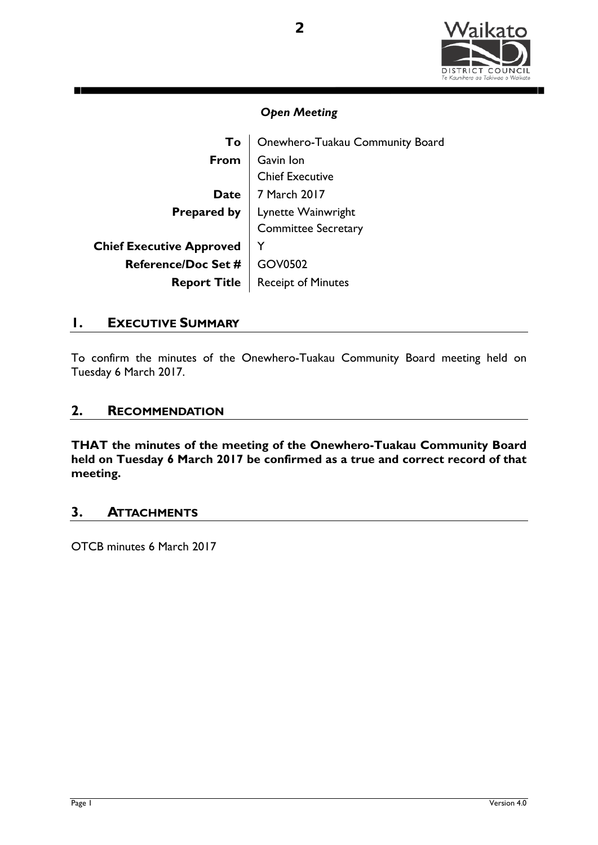

| To                              | Onewhero-Tuakau Community Board                              |
|---------------------------------|--------------------------------------------------------------|
| From                            | Gavin Ion                                                    |
|                                 | <b>Chief Executive</b>                                       |
| <b>Date</b>                     | 7 March 2017                                                 |
|                                 |                                                              |
|                                 | <b>Prepared by</b> Lynette Wainwright<br>Committee Secretary |
| <b>Chief Executive Approved</b> |                                                              |
| Reference/Doc Set #   GOV0502   |                                                              |
|                                 | <b>Report Title   Receipt of Minutes</b>                     |

## **1. EXECUTIVE SUMMARY**

To confirm the minutes of the Onewhero-Tuakau Community Board meeting held on Tuesday 6 March 2017.

## **2. RECOMMENDATION**

**THAT the minutes of the meeting of the Onewhero-Tuakau Community Board held on Tuesday 6 March 2017 be confirmed as a true and correct record of that meeting.** 

## **3. ATTACHMENTS**

OTCB minutes 6 March 2017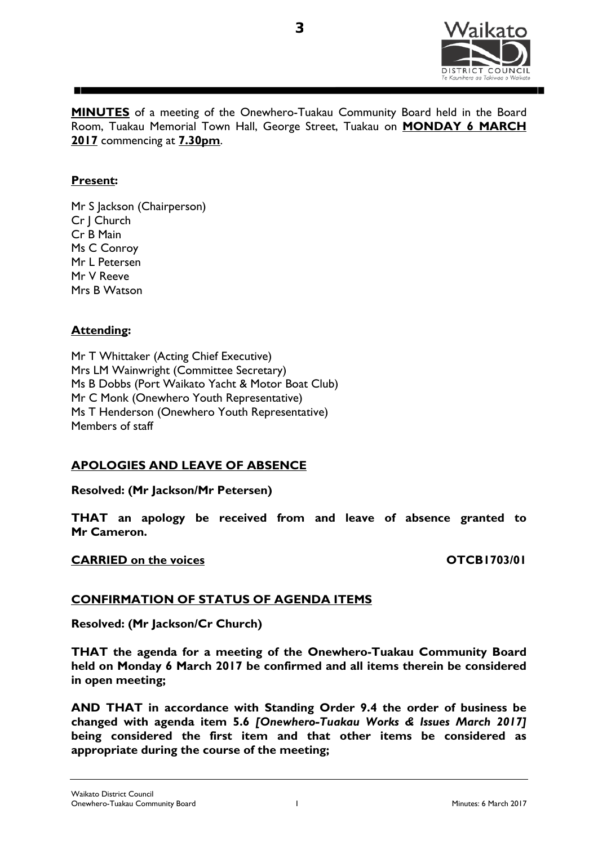

**MINUTES** of a meeting of the Onewhero-Tuakau Community Board held in the Board Room, Tuakau Memorial Town Hall, George Street, Tuakau on **MONDAY 6 MARCH 2017** commencing at **7.30pm**.

**3**

### **Present:**

Mr S Jackson (Chairperson) Cr J Church Cr B Main Ms C Conroy Mr L Petersen Mr V Reeve Mrs B Watson

### **Attending:**

Mr T Whittaker (Acting Chief Executive) Mrs LM Wainwright (Committee Secretary) Ms B Dobbs (Port Waikato Yacht & Motor Boat Club) Mr C Monk (Onewhero Youth Representative) Ms T Henderson (Onewhero Youth Representative) Members of staff

## **APOLOGIES AND LEAVE OF ABSENCE**

**Resolved: (Mr Jackson/Mr Petersen)**

**THAT an apology be received from and leave of absence granted to Mr Cameron.**

### **CARRIED** on the voices **OTCB1703/01**

## **CONFIRMATION OF STATUS OF AGENDA ITEMS**

**Resolved: (Mr Jackson/Cr Church)**

**THAT the agenda for a meeting of the Onewhero-Tuakau Community Board held on Monday 6 March 2017 be confirmed and all items therein be considered in open meeting;** 

**AND THAT in accordance with Standing Order 9.4 the order of business be changed with agenda item 5.6** *[Onewhero-Tuakau Works & Issues March 2017]* **being considered the first item and that other items be considered as appropriate during the course of the meeting;**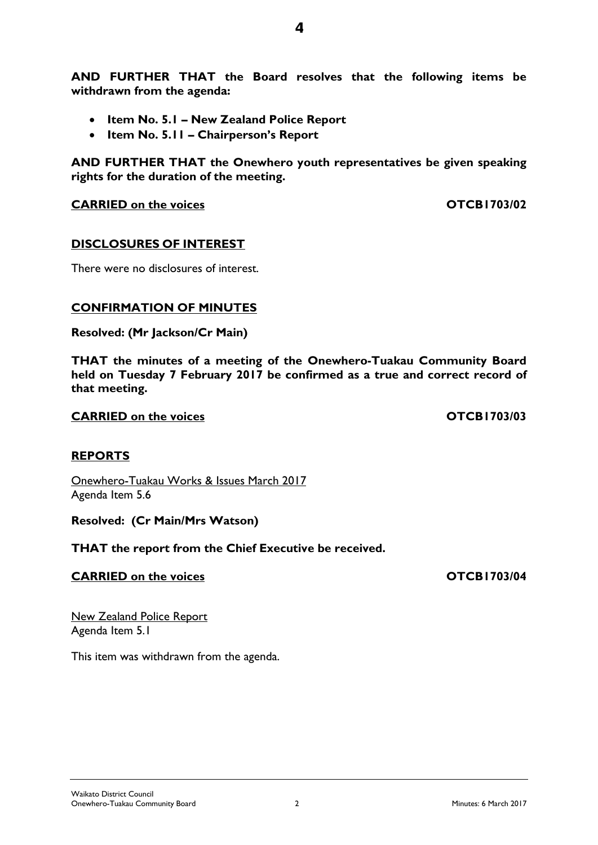**AND FURTHER THAT the Board resolves that the following items be withdrawn from the agenda:** 

- **Item No. 5.1 New Zealand Police Report**
- **Item No. 5.11 Chairperson's Report**

**AND FURTHER THAT the Onewhero youth representatives be given speaking rights for the duration of the meeting.**

**CARRIED** on the voices **CARRIED** on the voices

## **DISCLOSURES OF INTEREST**

There were no disclosures of interest.

## **CONFIRMATION OF MINUTES**

**Resolved: (Mr Jackson/Cr Main)**

**THAT the minutes of a meeting of the Onewhero-Tuakau Community Board held on Tuesday 7 February 2017 be confirmed as a true and correct record of that meeting.** 

**CARRIED on the voices OTCB1703/03**

## **REPORTS**

Onewhero-Tuakau Works & Issues March 2017 Agenda Item 5.6

**Resolved: (Cr Main/Mrs Watson)**

**THAT the report from the Chief Executive be received.**

## **CARRIED** on the voices **CARRIED** on the voices

New Zealand Police Report Agenda Item 5.1

This item was withdrawn from the agenda.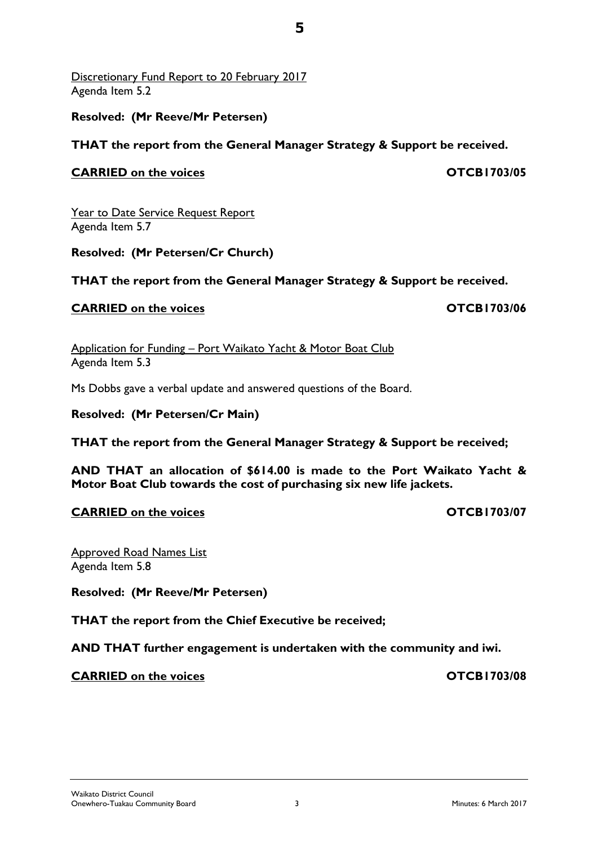Discretionary Fund Report to 20 February 2017 Agenda Item 5.2

## **Resolved: (Mr Reeve/Mr Petersen)**

## **THAT the report from the General Manager Strategy & Support be received.**

## **CARRIED on the voices OTCB1703/05**

Year to Date Service Request Report Agenda Item 5.7

**Resolved: (Mr Petersen/Cr Church)**

**THAT the report from the General Manager Strategy & Support be received.**

## **CARRIED** on the voices **CARRIED** on the voices

Application for Funding – Port Waikato Yacht & Motor Boat Club Agenda Item 5.3

Ms Dobbs gave a verbal update and answered questions of the Board.

**Resolved: (Mr Petersen/Cr Main)**

**THAT the report from the General Manager Strategy & Support be received;**

**AND THAT an allocation of \$614.00 is made to the Port Waikato Yacht & Motor Boat Club towards the cost of purchasing six new life jackets.** 

## **CARRIED on the voices OTCB1703/07**

Approved Road Names List Agenda Item 5.8

**Resolved: (Mr Reeve/Mr Petersen)**

**THAT the report from the Chief Executive be received;**

**AND THAT further engagement is undertaken with the community and iwi.**

**CARRIED on the voices OTCB1703/08**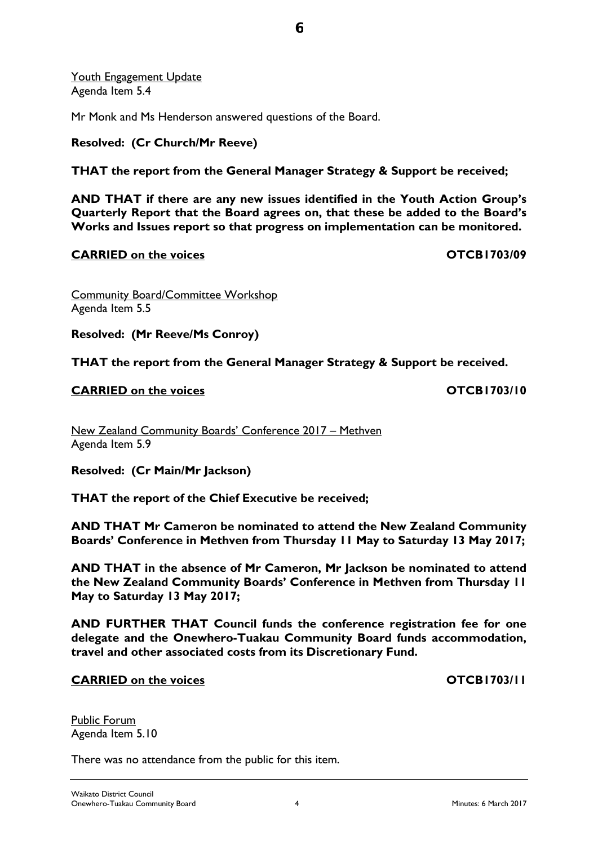Public Forum Agenda Item 5.10

**6**

Youth Engagement Update Agenda Item 5.4

Mr Monk and Ms Henderson answered questions of the Board.

## **Resolved: (Cr Church/Mr Reeve)**

## **THAT the report from the General Manager Strategy & Support be received;**

**AND THAT if there are any new issues identified in the Youth Action Group's Quarterly Report that the Board agrees on, that these be added to the Board's Works and Issues report so that progress on implementation can be monitored.** 

## **CARRIED on the voices OTCB1703/09**

Community Board/Committee Workshop Agenda Item 5.5

**Resolved: (Mr Reeve/Ms Conroy)**

**THAT the report from the General Manager Strategy & Support be received.** 

## **CARRIED** on the voices **CARRIED** on the voices

New Zealand Community Boards' Conference 2017 – Methven Agenda Item 5.9

**Resolved: (Cr Main/Mr Jackson)**

**THAT the report of the Chief Executive be received;**

There was no attendance from the public for this item.

**AND THAT Mr Cameron be nominated to attend the New Zealand Community Boards' Conference in Methven from Thursday 11 May to Saturday 13 May 2017;**

**AND THAT in the absence of Mr Cameron, Mr Jackson be nominated to attend the New Zealand Community Boards' Conference in Methven from Thursday 11 May to Saturday 13 May 2017;** 

**AND FURTHER THAT Council funds the conference registration fee for one delegate and the Onewhero-Tuakau Community Board funds accommodation, travel and other associated costs from its Discretionary Fund.**

## **CARRIED on the voices OTCB1703/11**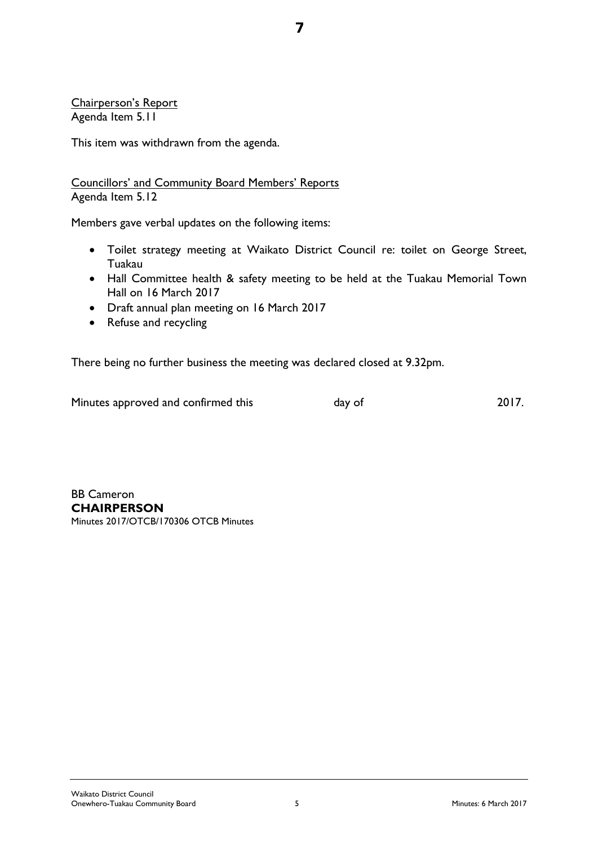Chairperson's Report Agenda Item 5.11

This item was withdrawn from the agenda.

Councillors' and Community Board Members' Reports Agenda Item 5.12

Members gave verbal updates on the following items:

• Toilet strategy meeting at Waikato District Council re: toilet on George Street, Tuakau

**7**

- Hall Committee health & safety meeting to be held at the Tuakau Memorial Town Hall on 16 March 2017
- Draft annual plan meeting on 16 March 2017
- Refuse and recycling

There being no further business the meeting was declared closed at 9.32pm.

| Minutes approved and confirmed this | day of | 2017. |
|-------------------------------------|--------|-------|
|                                     |        |       |

BB Cameron **CHAIRPERSON** Minutes 2017/OTCB/170306 OTCB Minutes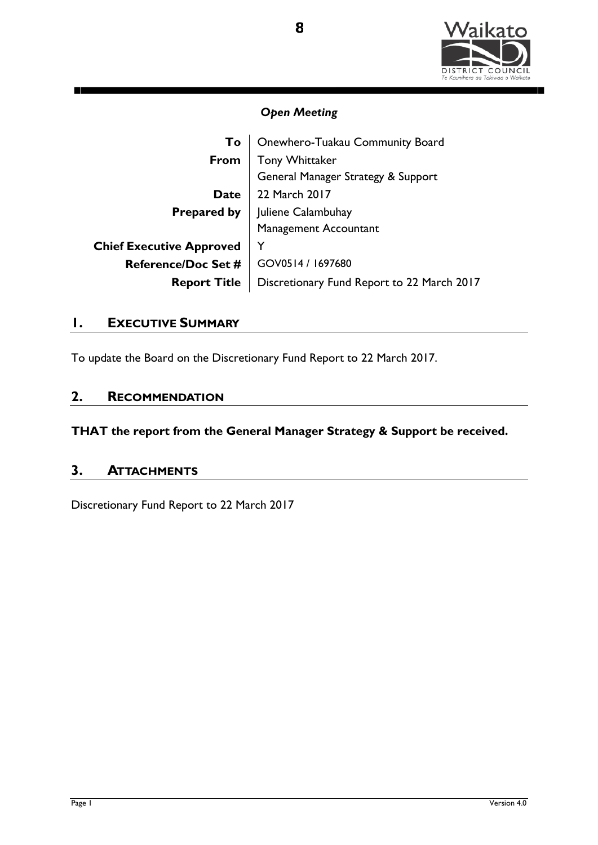

| To                              | Onewhero-Tuakau Community Board            |  |
|---------------------------------|--------------------------------------------|--|
| From                            | Tony Whittaker                             |  |
|                                 | General Manager Strategy & Support         |  |
| <b>Date</b>                     | 22 March 2017                              |  |
| <b>Prepared by</b>              | Juliene Calambuhay                         |  |
|                                 | Management Accountant                      |  |
| <b>Chief Executive Approved</b> | Y                                          |  |
| <b>Reference/Doc Set #</b>      | GOV0514 / 1697680                          |  |
| <b>Report Title</b>             | Discretionary Fund Report to 22 March 2017 |  |

## **1. EXECUTIVE SUMMARY**

To update the Board on the Discretionary Fund Report to 22 March 2017.

## **2. RECOMMENDATION**

**THAT the report from the General Manager Strategy & Support be received.**

## **3. ATTACHMENTS**

Discretionary Fund Report to 22 March 2017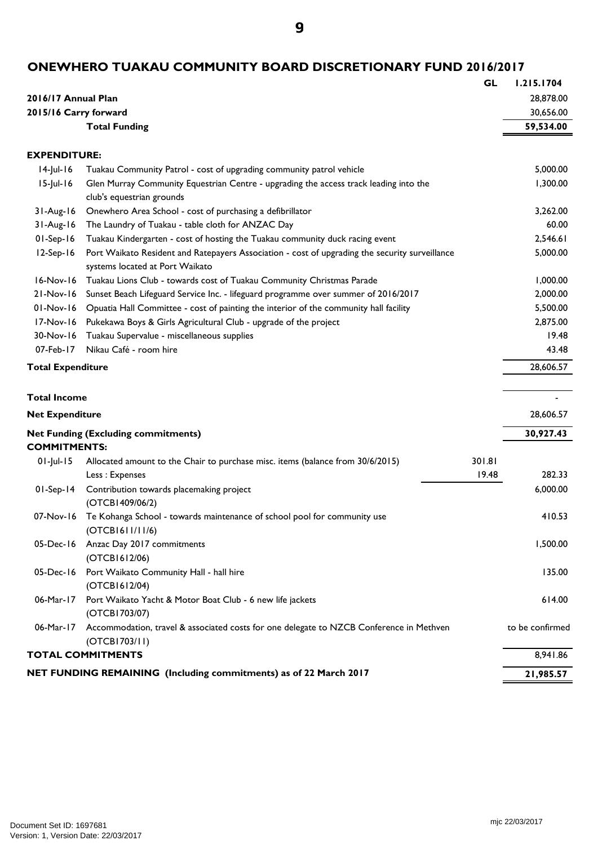**9**

# **ONEWHERO TUAKAU COMMUNITY BOARD DISCRETIONARY FUND 2016/2017**

|                          |                                                                                                                                   | <b>GL</b> | 1.215.1704      |
|--------------------------|-----------------------------------------------------------------------------------------------------------------------------------|-----------|-----------------|
| 2016/17 Annual Plan      |                                                                                                                                   |           | 28,878.00       |
| 2015/16 Carry forward    |                                                                                                                                   |           | 30,656.00       |
|                          | <b>Total Funding</b>                                                                                                              |           | 59,534.00       |
|                          |                                                                                                                                   |           |                 |
| <b>EXPENDITURE:</b>      |                                                                                                                                   |           |                 |
| $14$ -Jul-16             | Tuakau Community Patrol - cost of upgrading community patrol vehicle                                                              |           | 5,000.00        |
| $15$ -Jul-16             | Glen Murray Community Equestrian Centre - upgrading the access track leading into the<br>club's equestrian grounds                |           | 1,300.00        |
| $31-Aug-16$              | Onewhero Area School - cost of purchasing a defibrillator                                                                         |           | 3,262.00        |
| $31-Aug-16$              | The Laundry of Tuakau - table cloth for ANZAC Day                                                                                 |           | 60.00           |
| $01-Sep-16$              | Tuakau Kindergarten - cost of hosting the Tuakau community duck racing event                                                      |           | 2,546.61        |
| $12-Sep-16$              | Port Waikato Resident and Ratepayers Association - cost of upgrading the security surveillance<br>systems located at Port Waikato |           | 5,000.00        |
| 16-Nov-16                | Tuakau Lions Club - towards cost of Tuakau Community Christmas Parade                                                             |           | 1,000.00        |
| $21-Nov-16$              | Sunset Beach Lifeguard Service Inc. - lifeguard programme over summer of 2016/2017                                                |           | 2,000.00        |
| $01-Nov-16$              | Opuatia Hall Committee - cost of painting the interior of the community hall facility                                             |           | 5,500.00        |
| 17-Nov-16                | Pukekawa Boys & Girls Agricultural Club - upgrade of the project                                                                  |           | 2,875.00        |
| 30-Nov-16                | Tuakau Supervalue - miscellaneous supplies                                                                                        |           | 19.48           |
| 07-Feb-17                | Nikau Café - room hire                                                                                                            |           | 43.48           |
| <b>Total Expenditure</b> |                                                                                                                                   |           | 28,606.57       |
| <b>Total Income</b>      |                                                                                                                                   |           |                 |
| <b>Net Expenditure</b>   |                                                                                                                                   |           | 28,606.57       |
|                          | <b>Net Funding (Excluding commitments)</b>                                                                                        |           | 30,927.43       |
| <b>COMMITMENTS:</b>      |                                                                                                                                   |           |                 |
| $01$ -Jul-15             | Allocated amount to the Chair to purchase misc. items (balance from 30/6/2015)                                                    | 301.81    |                 |
|                          | Less: Expenses                                                                                                                    | 19.48     | 282.33          |
| $01-Sep-14$              | Contribution towards placemaking project<br>(OTCB1409/06/2)                                                                       |           | 6,000.00        |
| 07-Nov-16                | Te Kohanga School - towards maintenance of school pool for community use<br>(OTCB1611/11/6)                                       |           | 410.53          |
| 05-Dec-16                | Anzac Day 2017 commitments<br>(OTCB1612/06)                                                                                       |           | 1,500.00        |
|                          | 05-Dec-16 Port Waikato Community Hall - hall hire<br>(OTCB1612/04)                                                                |           | 135.00          |
| 06-Mar-17                | Port Waikato Yacht & Motor Boat Club - 6 new life jackets<br>(OTCB1703/07)                                                        |           | 614.00          |
| 06-Mar-17                | Accommodation, travel & associated costs for one delegate to NZCB Conference in Methven<br>(OTCB1703/11)                          |           | to be confirmed |
|                          | <b>TOTAL COMMITMENTS</b>                                                                                                          |           | 8,941.86        |
|                          | NET FUNDING REMAINING (Including commitments) as of 22 March 2017                                                                 |           | 21,985.57       |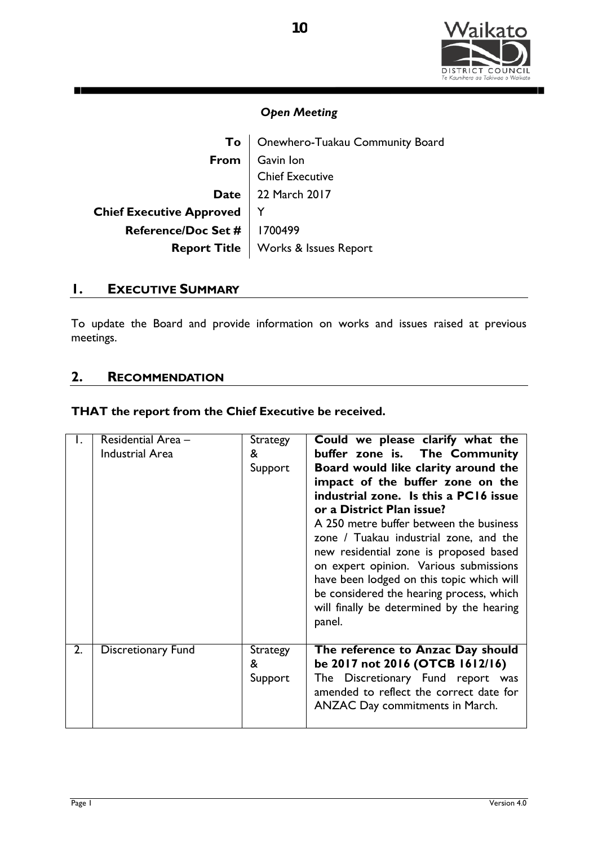

| To                              | Onewhero-Tuakau Community Board             |
|---------------------------------|---------------------------------------------|
|                                 | <b>From</b> $\vert$ Gavin lon               |
|                                 | <b>Chief Executive</b>                      |
|                                 | Date 22 March 2017                          |
| <b>Chief Executive Approved</b> |                                             |
| Reference/Doc Set #   1700499   |                                             |
|                                 | <b>Report Title</b>   Works & Issues Report |

## **1. EXECUTIVE SUMMARY**

n١

To update the Board and provide information on works and issues raised at previous meetings.

## **2. RECOMMENDATION**

### **THAT the report from the Chief Executive be received.**

| Ι. | Residential Area -<br><b>Industrial Area</b> | <b>Strategy</b><br>&<br>Support | Could we please clarify what the<br>buffer zone is. The Community<br>Board would like clarity around the<br>impact of the buffer zone on the<br>industrial zone. Is this a PC16 issue<br>or a District Plan issue?<br>A 250 metre buffer between the business<br>zone / Tuakau industrial zone, and the<br>new residential zone is proposed based<br>on expert opinion. Various submissions<br>have been lodged on this topic which will<br>be considered the hearing process, which<br>will finally be determined by the hearing<br>panel. |
|----|----------------------------------------------|---------------------------------|---------------------------------------------------------------------------------------------------------------------------------------------------------------------------------------------------------------------------------------------------------------------------------------------------------------------------------------------------------------------------------------------------------------------------------------------------------------------------------------------------------------------------------------------|
| 2. | <b>Discretionary Fund</b>                    | <b>Strategy</b><br>&<br>Support | The reference to Anzac Day should<br>be 2017 not 2016 (OTCB 1612/16)<br>The Discretionary Fund report was<br>amended to reflect the correct date for<br><b>ANZAC Day commitments in March.</b>                                                                                                                                                                                                                                                                                                                                              |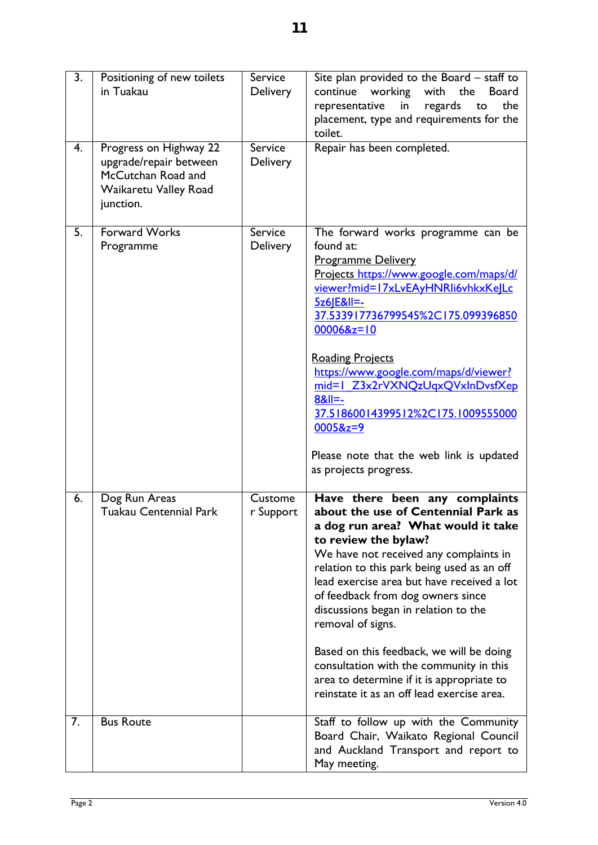| $\overline{3}$ . | Positioning of new toilets<br>in Tuakau                                                                      | Service<br>Delivery        | Site plan provided to the Board - staff to<br>working<br>with<br>continue<br>the<br><b>Board</b><br>representative<br>regards<br>the<br>in<br>to<br>placement, type and requirements for the<br>toilet.                                                                                                                                                                                                                                                                                                                                                       |
|------------------|--------------------------------------------------------------------------------------------------------------|----------------------------|---------------------------------------------------------------------------------------------------------------------------------------------------------------------------------------------------------------------------------------------------------------------------------------------------------------------------------------------------------------------------------------------------------------------------------------------------------------------------------------------------------------------------------------------------------------|
| $\overline{4}$ . | Progress on Highway 22<br>upgrade/repair between<br>McCutchan Road and<br>Waikaretu Valley Road<br>junction. | Service<br>Delivery        | Repair has been completed.                                                                                                                                                                                                                                                                                                                                                                                                                                                                                                                                    |
| 5.               | <b>Forward Works</b><br>Programme                                                                            | <b>Service</b><br>Delivery | The forward works programme can be<br>found at:<br><b>Programme Delivery</b><br>Projects https://www.google.com/maps/d/<br>viewer?mid=17xLvEAyHNRli6vhkxKelLc<br>5z6IE&II=-<br>37.533917736799545%2C175.099396850<br>$000068z = 10$<br><b>Roading Projects</b><br>https://www.google.com/maps/d/viewer?<br>mid=1 Z3x2rVXNQzUqxQVxInDvsfXep<br>$8&1 = -$<br>37.51860014399512%2C175.1009555000<br>$00058z = 9$<br>Please note that the web link is updated<br>as projects progress.                                                                            |
| 6.               | Dog Run Areas<br><b>Tuakau Centennial Park</b>                                                               | Custome<br>r Support       | Have there been any complaints<br>about the use of Centennial Park as<br>a dog run area? What would it take<br>to review the bylaw?<br>We have not received any complaints in<br>relation to this park being used as an off<br>lead exercise area but have received a lot<br>of feedback from dog owners since<br>discussions began in relation to the<br>removal of signs.<br>Based on this feedback, we will be doing<br>consultation with the community in this<br>area to determine if it is appropriate to<br>reinstate it as an off lead exercise area. |
| 7.               | <b>Bus Route</b>                                                                                             |                            | Staff to follow up with the Community<br>Board Chair, Waikato Regional Council<br>and Auckland Transport and report to<br>May meeting.                                                                                                                                                                                                                                                                                                                                                                                                                        |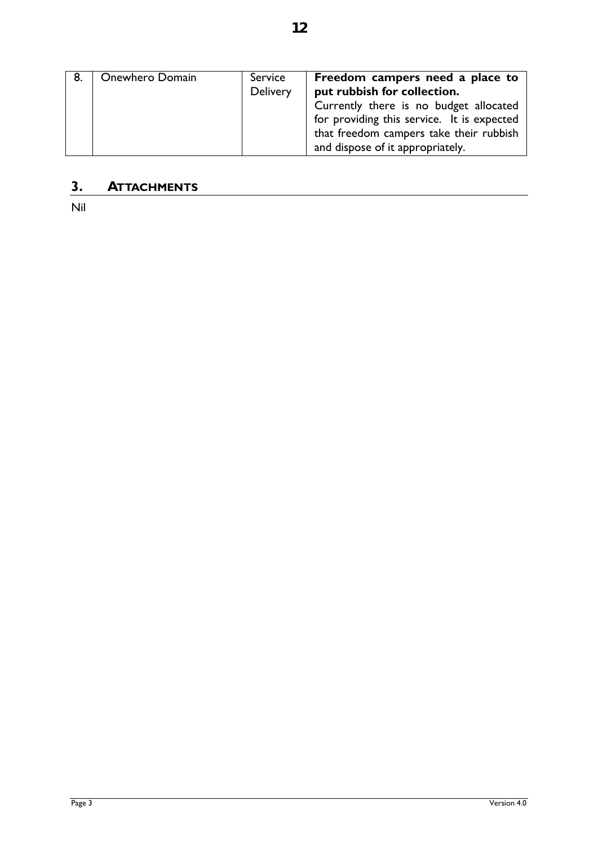**12**

# **3. ATTACHMENTS**

Nil